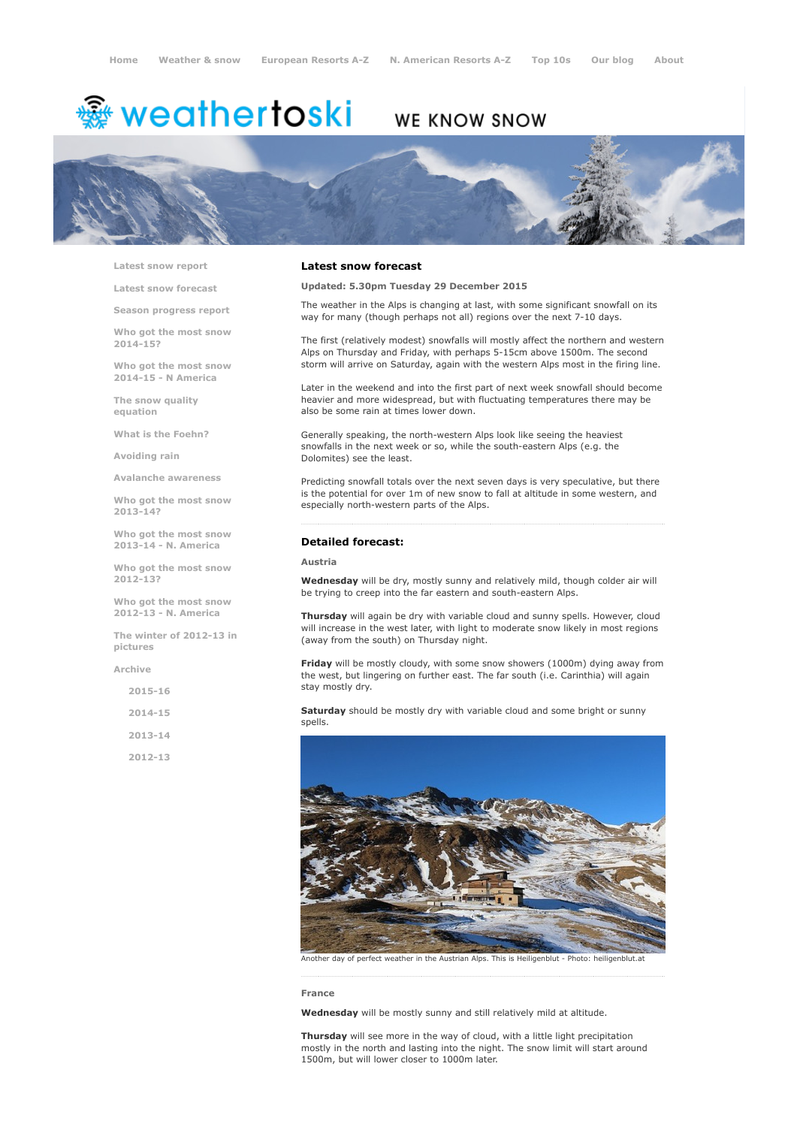# <del>鑾</del> weathertoski

# WE KNOW SNOW



Latest snow [report](http://www.weathertoski.co.uk/weather-snow/latest-snow-report/)

Latest snow [forecast](http://www.weathertoski.co.uk/weather-snow/latest-snow-forecast/)

Season [progress](http://www.weathertoski.co.uk/weather-snow/season-progress-report/) report

Who got the most snow 2014-15?

Who got the most snow 2014-15 - N America

The snow quality [equation](http://www.weathertoski.co.uk/weather-snow/the-snow-quality-equation/)

What is the [Foehn?](http://www.weathertoski.co.uk/weather-snow/what-is-the-foehn/)

[Avoiding](http://www.weathertoski.co.uk/weather-snow/avoiding-rain/) rain

Avalanche [awareness](http://www.weathertoski.co.uk/weather-snow/avalanche-awareness/)

Who got the most snow 2013-14?

Who got the most snow 2013-14 - N. America

Who got the most snow 2012-13?

Who got the most snow 2012-13 - N. America

The winter of 2012-13 in pictures

[Archive](http://www.weathertoski.co.uk/weather-snow/archive/)

2015-16

2014-15

2013-14

2012-13

### Latest snow forecast

Updated: 5.30pm Tuesday 29 December 2015

The weather in the Alps is changing at last, with some significant snowfall on its way for many (though perhaps not all) regions over the next 7-10 days.

The first (relatively modest) snowfalls will mostly affect the northern and western Alps on Thursday and Friday, with perhaps 5-15cm above 1500m. The second storm will arrive on Saturday, again with the western Alps most in the firing line.

Later in the weekend and into the first part of next week snowfall should become heavier and more widespread, but with fluctuating temperatures there may be also be some rain at times lower down.

Generally speaking, the north-western Alps look like seeing the heaviest snowfalls in the next week or so, while the south-eastern Alps (e.g. the Dolomites) see the least.

Predicting snowfall totals over the next seven days is very speculative, but there is the potential for over 1m of new snow to fall at altitude in some western, and especially north-western parts of the Alps.

# Detailed forecast:

#### Austria

Wednesday will be dry, mostly sunny and relatively mild, though colder air will be trying to creep into the far eastern and south-eastern Alps.

Thursday will again be dry with variable cloud and sunny spells. However, cloud will increase in the west later, with light to moderate snow likely in most regions (away from the south) on Thursday night.

Friday will be mostly cloudy, with some snow showers (1000m) dying away from the west, but lingering on further east. The far south (i.e. Carinthia) will again stay mostly dry.

Saturday should be mostly dry with variable cloud and some bright or sunny spells.



Another day of perfect weather in the Austrian Alps. This is Heiligenblut - Photo: heiligenblut.at

#### France

Wednesday will be mostly sunny and still relatively mild at altitude.

Thursday will see more in the way of cloud, with a little light precipitation mostly in the north and lasting into the night. The snow limit will start around 1500m, but will lower closer to 1000m later.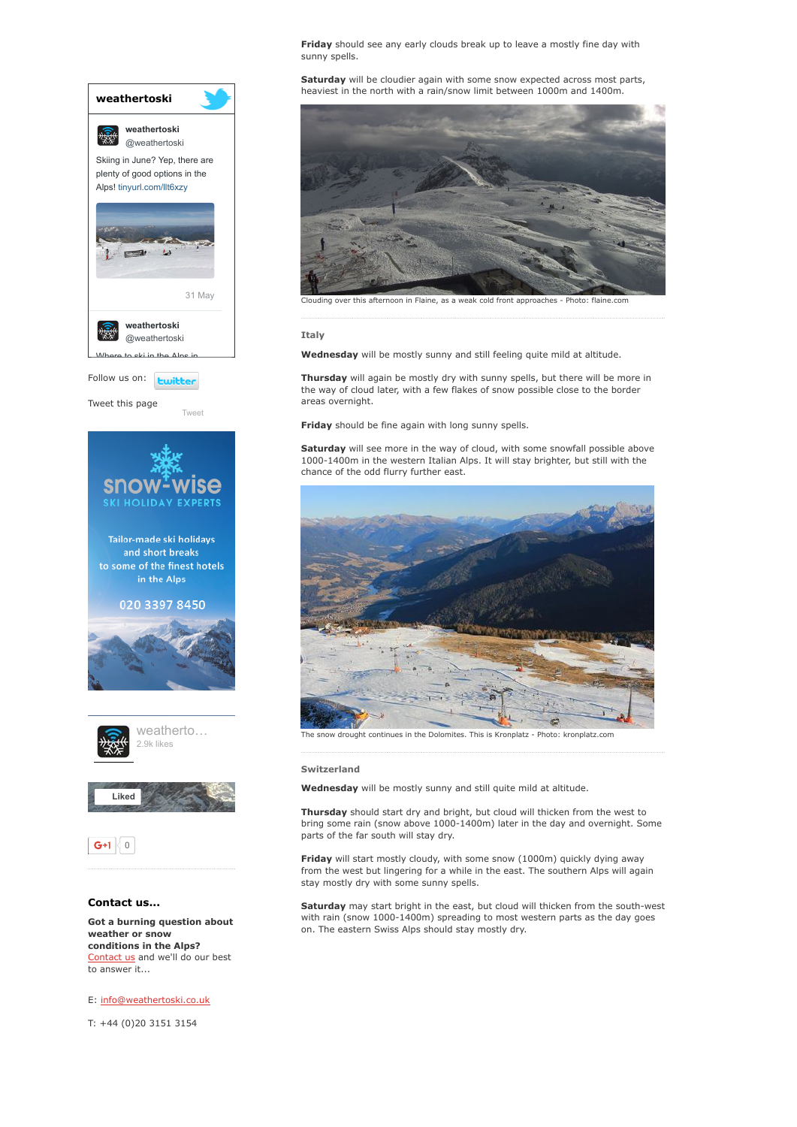

Got a burning question about weather or snow conditions in the Alps? [Contact](http://www.weathertoski.co.uk/about-1/contact-us/) us and we'll do our best to answer it...

E: [info@weathertoski.co.uk](mailto:fraser@weathertoski.co.uk)

T: +44 (0)20 3151 3154

Friday should see any early clouds break up to leave a mostly fine day with sunny spells.

Saturday will be cloudier again with some snow expected across most parts, heaviest in the north with a rain/snow limit between 1000m and 1400m.



Clouding over this afternoon in Flaine, as a weak cold front approaches Photo: flaine.com

#### Italy

Wednesday will be mostly sunny and still feeling quite mild at altitude.

Thursday will again be mostly dry with sunny spells, but there will be more in the way of cloud later, with a few flakes of snow possible close to the border areas overnight.

Friday should be fine again with long sunny spells.

Saturday will see more in the way of cloud, with some snowfall possible above 10001400m in the western Italian Alps. It will stay brighter, but still with the chance of the odd flurry further east.



The snow drought continues in the Dolomites. This is Kronplatz Photo: kronplatz.com

#### Switzerland

Wednesday will be mostly sunny and still quite mild at altitude.

Thursday should start dry and bright, but cloud will thicken from the west to bring some rain (snow above 1000-1400m) later in the day and overnight. Some parts of the far south will stay dry.

Friday will start mostly cloudy, with some snow (1000m) quickly dying away from the west but lingering for a while in the east. The southern Alps will again stay mostly dry with some sunny spells.

Saturday may start bright in the east, but cloud will thicken from the south-west with rain (snow 1000-1400m) spreading to most western parts as the day goes on. The eastern Swiss Alps should stay mostly dry.